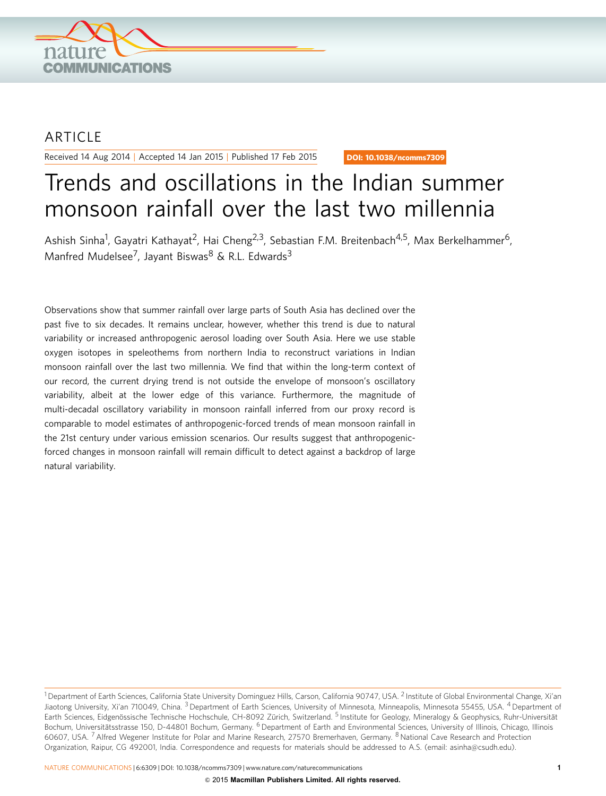

## ARTICLE

Received 14 Aug 2014 | Accepted 14 Jan 2015 | Published 17 Feb 2015

DOI: 10.1038/ncomms7309

# Trends and oscillations in the Indian summer monsoon rainfall over the last two millennia

Ashish Sinha<sup>1</sup>, Gayatri Kathayat<sup>2</sup>, Hai Cheng<sup>2,3</sup>, Sebastian F.M. Breitenbach<sup>4,5</sup>, Max Berkelhammer<sup>6</sup>, Manfred Mudelsee<sup>7</sup>, Jayant Biswas<sup>8</sup> & R.L. Edwards<sup>3</sup>

Observations show that summer rainfall over large parts of South Asia has declined over the past five to six decades. It remains unclear, however, whether this trend is due to natural variability or increased anthropogenic aerosol loading over South Asia. Here we use stable oxygen isotopes in speleothems from northern India to reconstruct variations in Indian monsoon rainfall over the last two millennia. We find that within the long-term context of our record, the current drying trend is not outside the envelope of monsoon's oscillatory variability, albeit at the lower edge of this variance. Furthermore, the magnitude of multi-decadal oscillatory variability in monsoon rainfall inferred from our proxy record is comparable to model estimates of anthropogenic-forced trends of mean monsoon rainfall in the 21st century under various emission scenarios. Our results suggest that anthropogenicforced changes in monsoon rainfall will remain difficult to detect against a backdrop of large natural variability.

NATURE COMMUNICATIONS | 6:6309 | DOI: 10.1038/ncomms7309 | [www.nature.com/naturecommunications](http://www.nature.com/naturecommunications) 1

<sup>&</sup>lt;sup>1</sup> Department of Earth Sciences, California State University Dominguez Hills, Carson, California 90747, USA. <sup>2</sup> Institute of Global Environmental Change, Xi'an Jiaotong University, Xi'an 710049, China. <sup>3</sup> Department of Earth Sciences, University of Minnesota, Minneapolis, Minnesota 55455, USA. <sup>4</sup> Department of Earth Sciences, Eidgenössische Technische Hochschule, CH-8092 Zürich, Switzerland. <sup>5</sup> Institute for Geology, Mineralogy & Geophysics, Ruhr-Universität Bochum, Universitätsstrasse 150, D-44801 Bochum, Germany. <sup>6</sup> Department of Earth and Environmental Sciences, University of Illinois, Chicago, Illinois 60607, USA. <sup>7</sup> Alfred Wegener Institute for Polar and Marine Research, 27570 Bremerhaven, Germany. <sup>8</sup> National Cave Research and Protection Organization, Raipur, CG 492001, India. Correspondence and requests for materials should be addressed to A.S. (email: [asinha@csudh.edu\)](mailto:asinha@csudh.edu).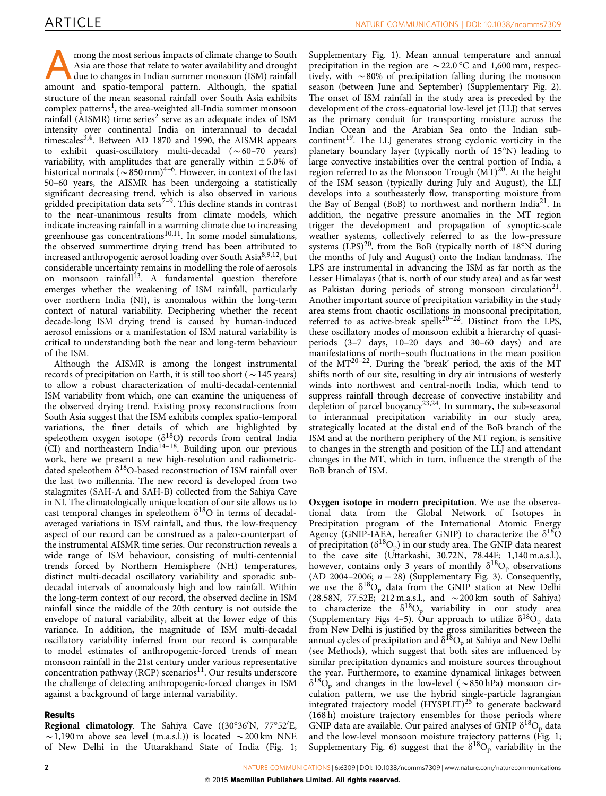mong the most serious impacts of climate change to South Asia are those that relate to water availability and drought due to changes in Indian summer monsoon (ISM) rainfall amount and spatio-temporal pattern. Although, the spatial structure of the mean seasonal rainfall over South Asia exhibits complex patterns<sup>1</sup>, the area-weighted all-India summer monsoon rainfall (AISMR) time series<sup>[2](#page-6-0)</sup> serve as an adequate index of ISM intensity over continental India on interannual to decadal timescales<sup>3,4</sup>. Between AD 1870 and 1990, the AISMR appears to exhibit quasi-oscillatory multi-decadal  $(\sim 60-70$  years) variability, with amplitudes that are generally within  $\pm 5.0\%$  of historical normals ( $\sim$  850 mm)<sup>4–6</sup>. However, in context of the last 50–60 years, the AISMR has been undergoing a statistically significant decreasing trend, which is also observed in various gridded precipitation data sets<sup>7-9</sup>. This decline stands in contrast to the near-unanimous results from climate models, which indicate increasing rainfall in a warming climate due to increasing greenhouse gas concentrations<sup>10,11</sup>. In some model simulations, the observed summertime drying trend has been attributed to increased anthropogenic aerosol loading over South Asia $8,9,12$ , but considerable uncertainty remains in modelling the role of aerosols on monsoon rainfall<sup>[13](#page-6-0)</sup>. A fundamental question therefore emerges whether the weakening of ISM rainfall, particularly over northern India (NI), is anomalous within the long-term context of natural variability. Deciphering whether the recent decade-long ISM drying trend is caused by human-induced aerosol emissions or a manifestation of ISM natural variability is critical to understanding both the near and long-term behaviour of the ISM.

Although the AISMR is among the longest instrumental records of precipitation on Earth, it is still too short ( $\sim$ 145 years) to allow a robust characterization of multi-decadal-centennial ISM variability from which, one can examine the uniqueness of the observed drying trend. Existing proxy reconstructions from South Asia suggest that the ISM exhibits complex spatio-temporal variations, the finer details of which are highlighted by speleothem oxygen isotope ( $\delta^{18}O$ ) records from central India (CI) and northeastern Indi[a14–18.](#page-6-0) Building upon our previous work, here we present a new high-resolution and radiometricdated speleothem  $\delta^{18}$ O-based reconstruction of ISM rainfall over the last two millennia. The new record is developed from two stalagmites (SAH-A and SAH-B) collected from the Sahiya Cave in NI. The climatologically unique location of our site allows us to cast temporal changes in speleothem  $\delta^{18}O$  in terms of decadalaveraged variations in ISM rainfall, and thus, the low-frequency aspect of our record can be construed as a paleo-counterpart of the instrumental AISMR time series. Our reconstruction reveals a wide range of ISM behaviour, consisting of multi-centennial trends forced by Northern Hemisphere (NH) temperatures, distinct multi-decadal oscillatory variability and sporadic subdecadal intervals of anomalously high and low rainfall. Within the long-term context of our record, the observed decline in ISM rainfall since the middle of the 20th century is not outside the envelope of natural variability, albeit at the lower edge of this variance. In addition, the magnitude of ISM multi-decadal oscillatory variability inferred from our record is comparable to model estimates of anthropogenic-forced trends of mean monsoon rainfall in the 21st century under various representative concentration pathway (RCP) scenarios<sup>11</sup>. Our results underscore the challenge of detecting anthropogenic-forced changes in ISM against a background of large internal variability.

### Results

Regional climatology. The Sahiya Cave ((30°36'N, 77°52'E,  $\sim$  1,190 m above sea level (m.a.s.l.)) is located  $\sim$  200 km NNE of New Delhi in the Uttarakhand State of India ([Fig. 1;](#page-2-0)

Supplementary Fig. 1). Mean annual temperature and annual precipitation in the region are  $\sim$  22.0 °C and 1,600 mm, respectively, with  $\sim 80\%$  of precipitation falling during the monsoon season (between June and September) (Supplementary Fig. 2). The onset of ISM rainfall in the study area is preceded by the development of the cross-equatorial low-level jet (LLJ) that serves as the primary conduit for transporting moisture across the Indian Ocean and the Arabian Sea onto the Indian sub-continent<sup>[19](#page-6-0)</sup>. The LLJ generates strong cyclonic vorticity in the planetary boundary layer (typically north of 15°N) leading to large convective instabilities over the central portion of India, a region referred to as the Monsoon Trough  $(MT)^{20}$  $(MT)^{20}$  $(MT)^{20}$ . At the height of the ISM season (typically during July and August), the LLJ develops into a southeasterly flow, transporting moisture from the Bay of Bengal (BoB) to northwest and northern India<sup>21</sup>. In addition, the negative pressure anomalies in the MT region trigger the development and propagation of synoptic-scale weather systems, collectively referred to as the low-pressure systems (LPS)<sup>[20](#page-6-0)</sup>, from the BoB (typically north of  $18^{\circ}$ N during the months of July and August) onto the Indian landmass. The LPS are instrumental in advancing the ISM as far north as the Lesser Himalayas (that is, north of our study area) and as far west as Pakistan during periods of strong monsoon circulation<sup>21</sup>. Another important source of precipitation variability in the study area stems from chaotic oscillations in monsoonal precipitation, referred to as active-break spells<sup>20-22</sup>. Distinct from the LPS, these oscillatory modes of monsoon exhibit a hierarchy of quasiperiods (3–7 days, 10–20 days and 30–60 days) and are manifestations of north–south fluctuations in the mean position of the  $MT^{20-22}$ . During the 'break' period, the axis of the MT shifts north of our site, resulting in dry air intrusions of westerly winds into northwest and central-north India, which tend to suppress rainfall through decrease of convective instability and depletion of parcel buoyancy<sup>[23,24](#page-6-0)</sup>. In summary, the sub-seasonal to interannual precipitation variability in our study area, strategically located at the distal end of the BoB branch of the ISM and at the northern periphery of the MT region, is sensitive to changes in the strength and position of the LLJ and attendant changes in the MT, which in turn, influence the strength of the BoB branch of ISM.

Oxygen isotope in modern precipitation. We use the observational data from the Global Network of Isotopes in Precipitation program of the International Atomic Energy Agency (GNIP-IAEA, hereafter GNIP) to characterize the  $\delta^{18}O$ of precipitation ( $\delta^{18}O_p$ ) in our study area. The GNIP data nearest to the cave site (Uttarkashi, 30.72N, 78.44E; 1,140 m.a.s.l.), however, contains only 3 years of monthly  $\delta^{18}O_p$  observations (AD 2004–2006;  $n = 28$ ) (Supplementary Fig. 3). Consequently, we use the  $\delta^{18}O_p$  data from the GNIP station at New Delhi (28.58N, 77.52E;  $212$  m.a.s.l., and  $\sim 200$  km south of Sahiya) to characterize the  $\delta^{18}O_p$  variability in our study area (Supplementary Figs 4–5). Our approach to utilize  $\delta^{18}O_p$  data from New Delhi is justified by the gross similarities between the annual cycles of precipitation and  $\delta^{18}O_p$  at Sahiya and New Delhi (see Methods), which suggest that both sites are influenced by similar precipitation dynamics and moisture sources throughout the year. Furthermore, to examine dynamical linkages between  $\delta^{18}O_p$  and changes in the low-level ( $\sim$ 850 hPa) monsoon circulation pattern, we use the hybrid single-particle lagrangian integrated trajectory model (HYSPLIT)<sup>[25](#page-7-0)</sup> to generate backward (168 h) moisture trajectory ensembles for those periods where GNIP data are available. Our paired analyses of GNIP  $\delta^{18}O_p$  data and the low-level monsoon moisture trajectory patterns ([Fig. 1;](#page-2-0) Supplementary Fig. 6) suggest that the  $\delta^{18}O_p$  variability in the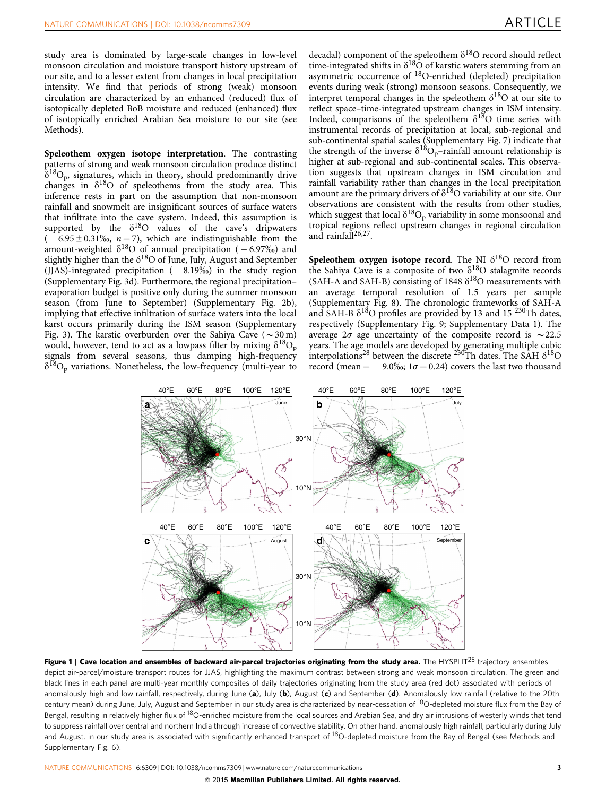<span id="page-2-0"></span>study area is dominated by large-scale changes in low-level monsoon circulation and moisture transport history upstream of our site, and to a lesser extent from changes in local precipitation intensity. We find that periods of strong (weak) monsoon circulation are characterized by an enhanced (reduced) flux of isotopically depleted BoB moisture and reduced (enhanced) flux of isotopically enriched Arabian Sea moisture to our site (see Methods).

Speleothem oxygen isotope interpretation. The contrasting patterns of strong and weak monsoon circulation produce distinct  $\delta^{18}O_p$ , signatures, which in theory, should predominantly drive changes in  $\delta^{18}$ O of speleothems from the study area. This inference rests in part on the assumption that non-monsoon rainfall and snowmelt are insignificant sources of surface waters that infiltrate into the cave system. Indeed, this assumption is supported by the  $\delta^{18}O$  values of the cave's dripwaters  $(-6.95 \pm 0.31\%)$ ,  $n = 7$ ), which are indistinguishable from the amount-weighted  $\delta^{18}O$  of annual precipitation ( – 6.97‰) and slightly higher than the  $\delta^{18}O$  of June, July, August and September (JJAS)-integrated precipitation  $(-8.19\%)$  in the study region (Supplementary Fig. 3d). Furthermore, the regional precipitation– evaporation budget is positive only during the summer monsoon season (from June to September) (Supplementary Fig. 2b), implying that effective infiltration of surface waters into the local karst occurs primarily during the ISM season (Supplementary Fig. 3). The karstic overburden over the Sahiya Cave ( $\sim$ 30 m) would, however, tend to act as a lowpass filter by mixing  $\delta^{18}O_p$ signals from several seasons, thus damping high-frequency  $\delta^{18}O_p$  variations. Nonetheless, the low-frequency (multi-year to

decadal) component of the speleothem  $\delta^{18}O$  record should reflect time-integrated shifts in  $\delta^{18}$ O of karstic waters stemming from an asymmetric occurrence of 18O-enriched (depleted) precipitation events during weak (strong) monsoon seasons. Consequently, we interpret temporal changes in the speleothem  $\delta^{18}O$  at our site to reflect space–time-integrated upstream changes in ISM intensity. Indeed, comparisons of the speleothem  $\delta^{18}$ O time series with instrumental records of precipitation at local, sub-regional and sub-continental spatial scales (Supplementary Fig. 7) indicate that stip-commental spatial scales (suppremeasing)  $-\frac{1}{6}$ <br>the strength of the inverse  $\delta^{18}O_p$ -rainfall amount relationship is higher at sub-regional and sub-continental scales. This observation suggests that upstream changes in ISM circulation and rainfall variability rather than changes in the local precipitation amount are the primary drivers of  $\delta^{18}O$  variability at our site. Our observations are consistent with the results from other studies, which suggest that local  $\delta^{18}O_p$  variability in some monsoonal and tropical regions reflect upstream changes in regional circulation and rainfall $^{26,27}$ .

Speleothem oxygen isotope record. The NI  $\delta^{18}O$  record from the Sahiya Cave is a composite of two  $\delta^{18}$ O stalagmite records (SAH-A and SAH-B) consisting of 1848  $\delta^{18}$ O measurements with an average temporal resolution of 1.5 years per sample (Supplementary Fig. 8). The chronologic frameworks of SAH-A and SAH-B  $\delta^{18}$ O profiles are provided by 13 and 15 <sup>230</sup>Th dates, respectively (Supplementary Fig. 9; Supplementary Data 1). The average  $2\sigma$  age uncertainty of the composite record is  $\sim$  22.5 years. The age models are developed by generating multiple cubic interpolations<sup>[28](#page-7-0)</sup> between the discrete <sup>230</sup>Th dates. The SAH  $\delta^{18}$ O record (mean  $=$  -9.0‰; 1 $\sigma$  = 0.24) covers the last two thousand



Figure 1 | Cave location and ensembles of backward air-parcel trajectories originating from the study area. The HYSPLIT<sup>[25](#page-7-0)</sup> trajectory ensembles depict air-parcel/moisture transport routes for JJAS, highlighting the maximum contrast between strong and weak monsoon circulation. The green and black lines in each panel are multi-year monthly composites of daily trajectories originating from the study area (red dot) associated with periods of anomalously high and low rainfall, respectively, during June (a), July (b), August (c) and September (d). Anomalously low rainfall (relative to the 20th century mean) during June, July, August and September in our study area is characterized by near-cessation of 18O-depleted moisture flux from the Bay of Bengal, resulting in relatively higher flux of <sup>18</sup>O-enriched moisture from the local sources and Arabian Sea, and dry air intrusions of westerly winds that tend to suppress rainfall over central and northern India through increase of convective stability. On other hand, anomalously high rainfall, particularly during July and August, in our study area is associated with significantly enhanced transport of <sup>18</sup>O-depleted moisture from the Bay of Bengal (see Methods and Supplementary Fig. 6).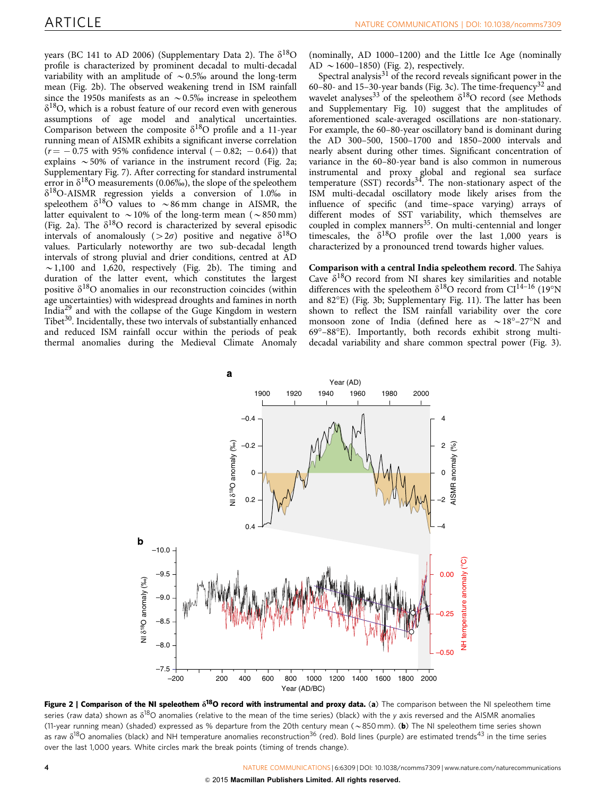<span id="page-3-0"></span>years (BC 141 to AD 2006) (Supplementary Data 2). The  $\delta^{18}O$ profile is characterized by prominent decadal to multi-decadal variability with an amplitude of  $\sim 0.5\%$  around the long-term mean (Fig. 2b). The observed weakening trend in ISM rainfall since the 1950s manifests as an  $\sim 0.5\%$  increase in speleothem  $\delta^{18}$ O, which is a robust feature of our record even with generous assumptions of age model and analytical uncertainties. Comparison between the composite  $\delta^{18}O$  profile and a 11-year running mean of AISMR exhibits a significant inverse correlation  $(r = -0.75 \text{ with } 95\% \text{ confidence interval } (-0.82; -0.64)) \text{ that}$ explains  $\sim$  50% of variance in the instrument record (Fig. 2a; Supplementary Fig. 7). After correcting for standard instrumental error in  $\delta^{18}$ O measurements (0.06‰), the slope of the speleothem  $\delta^{18}$ O-AISMR regression yields a conversion of 1.0‰ in speleothem  $\delta^{18}O$  values to  $\sim 86$  mm change in AISMR, the latter equivalent to  $\sim$  10% of the long-term mean ( $\sim$  850 mm) (Fig. 2a). The  $\delta^{18}O$  record is characterized by several episodic intervals of anomalously ( $> 2\sigma$ ) positive and negative  $\delta^{18}O$ values. Particularly noteworthy are two sub-decadal length intervals of strong pluvial and drier conditions, centred at AD  $\sim$  1,100 and 1,620, respectively (Fig. 2b). The timing and duration of the latter event, which constitutes the largest positive  $\delta^{18}$ O anomalies in our reconstruction coincides (within age uncertainties) with widespread droughts and famines in north Indi[a29](#page-7-0) and with the collapse of the Guge Kingdom in western Tibet<sup>30</sup>. Incidentally, these two intervals of substantially enhanced and reduced ISM rainfall occur within the periods of peak thermal anomalies during the Medieval Climate Anomaly (nominally, AD 1000–1200) and the Little Ice Age (nominally AD  $\sim$  1600–1850) (Fig. 2), respectively.

Spectral analysis $31$  of the record reveals significant power in the 60–80- and 15–30-year bands [\(Fig. 3c\)](#page-4-0). The time-frequency<sup>[32](#page-7-0)</sup> and wavelet analyses<sup>33</sup> of the speleothem  $\delta^{18}$ O record (see Methods and Supplementary Fig. 10) suggest that the amplitudes of aforementioned scale-averaged oscillations are non-stationary. For example, the 60–80-year oscillatory band is dominant during the AD 300–500, 1500–1700 and 1850–2000 intervals and nearly absent during other times. Significant concentration of variance in the 60–80-year band is also common in numerous instrumental and proxy global and regional sea surface temperature (SST) records<sup>34</sup>. The non-stationary aspect of the ISM multi-decadal oscillatory mode likely arises from the influence of specific (and time–space varying) arrays of different modes of SST variability, which themselves are coupled in complex manners<sup>[35](#page-7-0)</sup>. On multi-centennial and longer timescales, the  $\delta^{18}O$  profile over the last 1,000 years is characterized by a pronounced trend towards higher values.

Comparison with a central India speleothem record. The Sahiya Cave  $\delta^{18}$ O record from NI shares key similarities and notable differences with the speleothem  $\delta^{18}O$  record from CI<sup>14-16</sup> (19°N and 82°E) [\(Fig. 3b;](#page-4-0) Supplementary Fig. 11). The latter has been shown to reflect the ISM rainfall variability over the core monsoon zone of India (defined here as  $\sim 18^{\circ} - 27^{\circ}$ N and 69°-88°E). Importantly, both records exhibit strong multidecadal variability and share common spectral power ([Fig. 3](#page-4-0)).



Figure 2 | Comparison of the NI speleothem  $\delta^{18}$ O record with instrumental and proxy data. (a) The comparison between the NI speleothem time series (raw data) shown as  $\delta^{18}O$  anomalies (relative to the mean of the time series) (black) with the y axis reversed and the AISMR anomalies (11-year running mean) (shaded) expressed as % departure from the 20th century mean ( $\sim$ 850 mm). (b) The NI speleothem time series shown as raw  $\delta^{18}$ O anomalies (black) and NH temperature anomalies reconstruction<sup>36</sup> (red). Bold lines (purple) are estimated trends<sup>43</sup> in the time series over the last 1,000 years. White circles mark the break points (timing of trends change).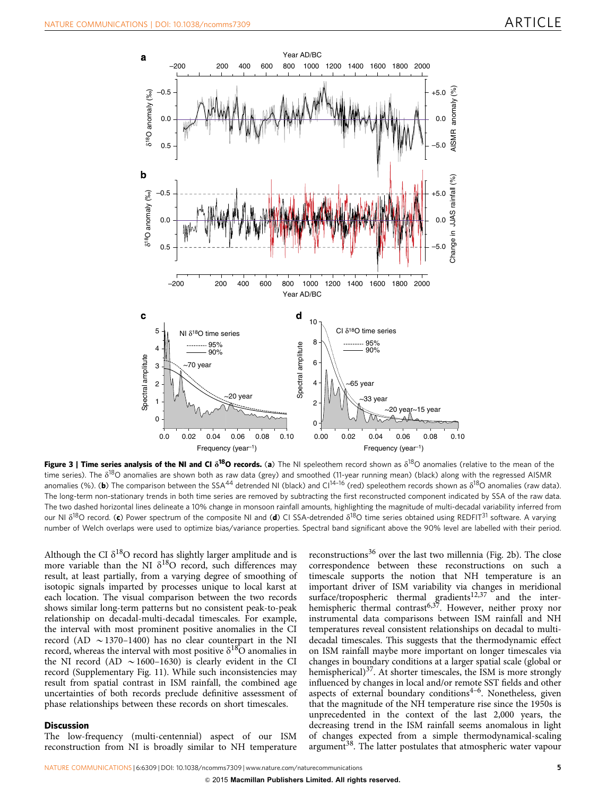<span id="page-4-0"></span>

Figure 3 | Time series analysis of the NI and CI  $\delta^{18}O$  records. (a) The NI speleothem record shown as  $\delta^{18}O$  anomalies (relative to the mean of the time series). The  $\delta^{18}$ O anomalies are shown both as raw data (grey) and smoothed (11-year running mean) (black) along with the regressed AISMR anomalies (%). (b) The comparison between the SSA<sup>[44](#page-7-0)</sup> detrended NI (black) and Cl<sup>14–16</sup> (red) speleothem records shown as  $\delta^{18}$ O anomalies (raw data). The long-term non-stationary trends in both time series are removed by subtracting the first reconstructed component indicated by SSA of the raw data. The two dashed horizontal lines delineate a 10% change in monsoon rainfall amounts, highlighting the magnitude of multi-decadal variability inferred from our NI  $\delta^{18}$ O record. (c) Power spectrum of the composite NI and (d) CI SSA-detrended  $\delta^{18}$ O time series obtained using REDFIT<sup>[31](#page-7-0)</sup> software. A varying number of Welch overlaps were used to optimize bias/variance properties. Spectral band significant above the 90% level are labelled with their period.

Although the CI  $\delta^{18}O$  record has slightly larger amplitude and is more variable than the NI  $\delta^{18}O$  record, such differences may result, at least partially, from a varying degree of smoothing of isotopic signals imparted by processes unique to local karst at each location. The visual comparison between the two records shows similar long-term patterns but no consistent peak-to-peak relationship on decadal-multi-decadal timescales. For example, the interval with most prominent positive anomalies in the CI record (AD  $\sim$  1370–1400) has no clear counterpart in the NI record, whereas the interval with most positive  $\delta^{18}O$  anomalies in the NI record (AD  $\sim$  1600–1630) is clearly evident in the CI record (Supplementary Fig. 11). While such inconsistencies may result from spatial contrast in ISM rainfall, the combined age uncertainties of both records preclude definitive assessment of phase relationships between these records on short timescales.

#### **Discussion**

The low-frequency (multi-centennial) aspect of our ISM reconstruction from NI is broadly similar to NH temperature

reconstructions<sup>[36](#page-7-0)</sup> over the last two millennia [\(Fig. 2b](#page-3-0)). The close correspondence between these reconstructions on such a timescale supports the notion that NH temperature is an important driver of ISM variability via changes in meridional surface/tropospheric thermal gradients<sup>[12,37](#page-6-0)</sup> and the inter-hemispheric thermal contrast<sup>[6,37](#page-6-0)</sup>. However, neither proxy nor instrumental data comparisons between ISM rainfall and NH temperatures reveal consistent relationships on decadal to multidecadal timescales. This suggests that the thermodynamic effect on ISM rainfall maybe more important on longer timescales via changes in boundary conditions at a larger spatial scale (global or hemispherical) $37$ . At shorter timescales, the ISM is more strongly influenced by changes in local and/or remote SST fields and other aspects of external boundary conditions<sup>4-6</sup>. Nonetheless, given that the magnitude of the NH temperature rise since the 1950s is unprecedented in the context of the last 2,000 years, the decreasing trend in the ISM rainfall seems anomalous in light of changes expected from a simple thermodynamical-scaling argument<sup>[38](#page-7-0)</sup>. The latter postulates that atmospheric water vapour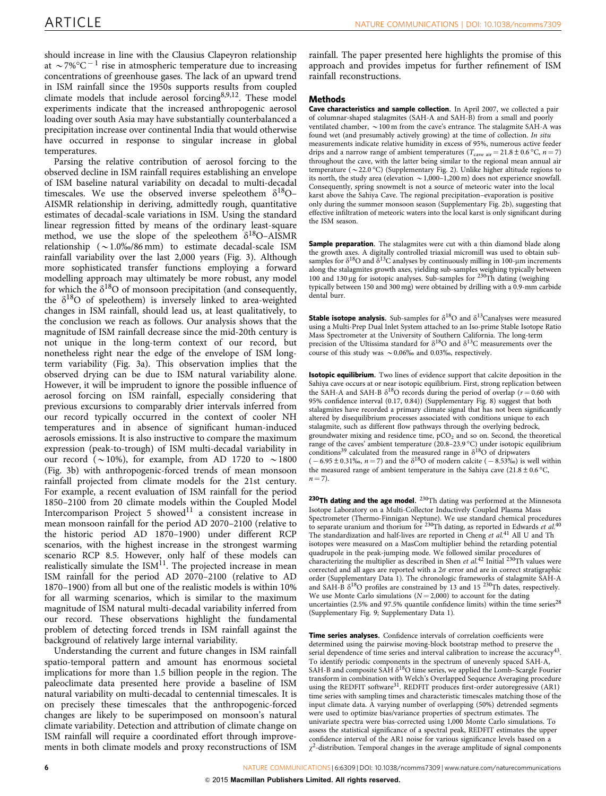should increase in line with the Clausius Clapeyron relationship at  $\sim$  7%°C<sup>-1</sup> rise in atmospheric temperature due to increasing concentrations of greenhouse gases. The lack of an upward trend in ISM rainfall since the 1950s supports results from coupled climate models that include aerosol forcing<sup>8,9,12</sup>. These model experiments indicate that the increased anthropogenic aerosol loading over south Asia may have substantially counterbalanced a precipitation increase over continental India that would otherwise have occurred in response to singular increase in global temperatures.

Parsing the relative contribution of aerosol forcing to the observed decline in ISM rainfall requires establishing an envelope of ISM baseline natural variability on decadal to multi-decadal timescales. We use the observed inverse speleothem  $\delta^{18}O$ -AISMR relationship in deriving, admittedly rough, quantitative estimates of decadal-scale variations in ISM. Using the standard linear regression fitted by means of the ordinary least-square method, we use the slope of the speleothem  $\delta^{18}$ O-AISMR relationship ( $\sim$  1.0%/86 mm) to estimate decadal-scale ISM rainfall variability over the last 2,000 years [\(Fig. 3](#page-4-0)). Although more sophisticated transfer functions employing a forward modelling approach may ultimately be more robust, any model for which the  $\delta^{18}O$  of monsoon precipitation (and consequently, the  $\delta^{18}$ O of speleothem) is inversely linked to area-weighted changes in ISM rainfall, should lead us, at least qualitatively, to the conclusion we reach as follows. Our analysis shows that the magnitude of ISM rainfall decrease since the mid-20th century is not unique in the long-term context of our record, but nonetheless right near the edge of the envelope of ISM longterm variability [\(Fig. 3a](#page-4-0)). This observation implies that the observed drying can be due to ISM natural variability alone. However, it will be imprudent to ignore the possible influence of aerosol forcing on ISM rainfall, especially considering that previous excursions to comparably drier intervals inferred from our record typically occurred in the context of cooler NH temperatures and in absence of significant human-induced aerosols emissions. It is also instructive to compare the maximum expression (peak-to-trough) of ISM multi-decadal variability in our record ( $\sim$ 10%), for example, from AD 1720 to  $\sim$ 1800 ([Fig. 3b](#page-4-0)) with anthropogenic-forced trends of mean monsoon rainfall projected from climate models for the 21st century. For example, a recent evaluation of ISM rainfall for the period 1850–2100 from 20 climate models within the Coupled Model Intercomparison Project 5 showed $11$  a consistent increase in mean monsoon rainfall for the period AD 2070–2100 (relative to the historic period AD 1870–1900) under different RCP scenarios, with the highest increase in the strongest warming scenario RCP 8.5. However, only half of these models can realistically simulate the ISM $^{11}$  $^{11}$  $^{11}$ . The projected increase in mean ISM rainfall for the period AD 2070–2100 (relative to AD 1870–1900) from all but one of the realistic models is within 10% for all warming scenarios, which is similar to the maximum magnitude of ISM natural multi-decadal variability inferred from our record. These observations highlight the fundamental problem of detecting forced trends in ISM rainfall against the background of relatively large internal variability.

Understanding the current and future changes in ISM rainfall spatio-temporal pattern and amount has enormous societal implications for more than 1.5 billion people in the region. The paleoclimate data presented here provide a baseline of ISM natural variability on multi-decadal to centennial timescales. It is on precisely these timescales that the anthropogenic-forced changes are likely to be superimposed on monsoon's natural climate variability. Detection and attribution of climate change on ISM rainfall will require a coordinated effort through improvements in both climate models and proxy reconstructions of ISM

rainfall. The paper presented here highlights the promise of this approach and provides impetus for further refinement of ISM rainfall reconstructions.

#### Methods

Cave characteristics and sample collection. In April 2007, we collected a pair of columnar-shaped stalagmites (SAH-A and SAH-B) from a small and poorly ventilated chamber,  $\sim$  100 m from the cave's entrance. The stalagmite SAH-A was found wet (and presumably actively growing) at the time of collection. In situ measurements indicate relative humidity in excess of 95%, numerous active feeder drips and a narrow range of ambient temperatures ( $T_{\text{cave air}} = 21.8 \pm 0.6 \degree \text{C},\ n = 7$ ) throughout the cave, with the latter being similar to the regional mean annual air temperature ( $\sim$  22.0 °C) (Supplementary Fig. 2). Unlike higher altitude regions to its north, the study area (elevation  $\sim 1,000-1,200$  m) does not experience snowfall. Consequently, spring snowmelt is not a source of meteoric water into the local karst above the Sahiya Cave. The regional precipitation–evaporation is positive only during the summer monsoon season (Supplementary Fig. 2b), suggesting that effective infiltration of meteoric waters into the local karst is only significant during the ISM season.

Sample preparation. The stalagmites were cut with a thin diamond blade along the growth axes. A digitally controlled triaxial micromill was used to obtain subsamples for  $\delta^{18}O$  and  $\delta^{13}C$  analyses by continuously milling in 100-µm increments along the stalagmites growth axes, yielding sub-samples weighing typically between 100 and 130 µg for isotopic analyses. Sub-samples for <sup>230</sup>Th dating (weighing typically between 150 and 300 mg) were obtained by drilling with a 0.9-mm carbide dental burr.

**Stable isotope analysis.** Sub-samples for  $\delta^{18}O$  and  $\delta^{13}C$ analyses were measured using a Multi-Prep Dual Inlet System attached to an Iso-prime Stable Isotope Ratio Mass Spectrometer at the University of Southern California. The long-term precision of the Ultissima standard for  $\delta^{18}O$  and  $\delta^{13}C$  measurements over the course of this study was  $\sim 0.06\%$  and 0.03%, respectively.

**Isotopic equilibrium.** Two lines of evidence support that calcite deposition in the Sahiya cave occurs at or near isotopic equilibrium. First, strong replication between the SAH-A and SAH-B  $\delta^{18}O$  records during the period of overlap ( $r = 0.60$  with 95% confidence interval (0.17, 0.84)) (Supplementary Fig. 8) suggest that both stalagmites have recorded a primary climate signal that has not been significantly altered by disequilibrium processes associated with conditions unique to each stalagmite, such as different flow pathways through the overlying bedrock, groundwater mixing and residence time,  $pCO<sub>2</sub>$  and so on. Second, the theoretical range of the caves' ambient temperature  $(20.8-23.9\,^{\circ}\text{C})$  under isotopic equilibrium conditions<sup>[39](#page-7-0)</sup> calculated from the measured range in  $\delta^{18}$ O of dripwaters  $(-6.95 \pm 0.31\%, n = 7)$  and the  $\delta^{18}$ O of modern calcite  $(-8.53\%)$  is well within the measured range of ambient temperature in the Sahiya cave  $(21.8 \pm 0.6 \degree C,$  $n = 7$ ).

230Th dating and the age model.  $^{230}$ Th dating was performed at the Minnesota Isotope Laboratory on a Multi-Collector Inductively Coupled Plasma Mass Spectrometer (Thermo-Finnigan Neptune). We use standard chemical procedures to separate uranium and thorium for <sup>230</sup>Th dating, as reported in Edwards et al.<sup>[40](#page-7-0)</sup> to separate uranium and thorium for <sup>230</sup>Th dating, as reported in Edwards et al.<sup>40</sup> The standardization and half-lives are reported in Cheng et al.<sup>[41](#page-7-0)</sup> All U and Th isotopes were measured on a MasCom multiplier behind the retarding potential quadrupole in the peak-jumping mode. We followed similar procedures of characterizing the multiplier as described in Shen et  $al$ .<sup>[42](#page-7-0)</sup> Initial  $^{230}$ Th values were corrected and all ages are reported with a  $2\sigma$  error and are in correct stratigraphic order (Supplementary Data 1). The chronologic frameworks of stalagmite SAH-A and SAH-B  $\delta^{18}$ O profiles are constrained by 13 and 15  $^{230}$ Th dates, respectively. We use Monte Carlo simulations ( $N = 2,000$ ) to account for the dating uncertainties (2.5% and 97.5% quantile confidence limits) within the time series $^{28}$  $^{28}$  $^{28}$ (Supplementary Fig. 9; Supplementary Data 1).

Time series analyses. Confidence intervals of correlation coefficients were determined using the pairwise moving-block bootstrap method to preserve the serial dependence of time series and interval calibration to increase the accuracy<sup>[43](#page-7-0)</sup>. To identify periodic components in the spectrum of unevenly spaced SAH-A, SAH-B and composite SAH  $\delta^{18}$ O time series, we applied the Lomb–Scargle Fourier transform in combination with Welch's Overlapped Sequence Averaging procedure using the REDFIT software<sup>31</sup>. REDFIT produces first-order autoregressive (AR1) time series with sampling times and characteristic timescales matching those of the input climate data. A varying number of overlapping (50%) detrended segments were used to optimize bias/variance properties of spectrum estimates. The univariate spectra were bias-corrected using 1,000 Monte Carlo simulations. To assess the statistical significance of a spectral peak, REDFIT estimates the upper confidence interval of the AR1 noise for various significance levels based on a  $\chi^2$ -distribution. Temporal changes in the average amplitude of signal components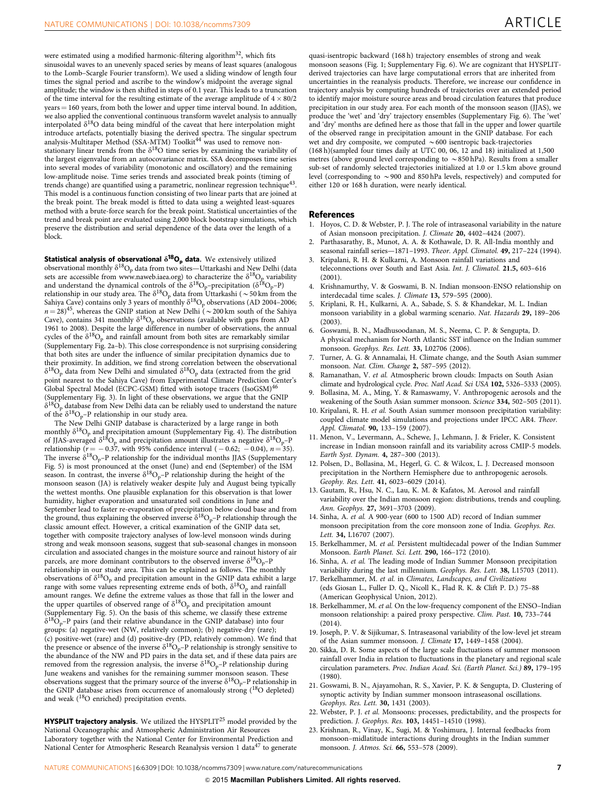<span id="page-6-0"></span>were estimated using a modified harmonic-filtering algorithm<sup>[32](#page-7-0)</sup>, which fits sinusoidal waves to an unevenly spaced series by means of least squares (analogous to the Lomb–Scargle Fourier transform). We used a sliding window of length four times the signal period and ascribe to the window's midpoint the average signal amplitude; the window is then shifted in steps of 0.1 year. This leads to a truncation of the time interval for the resulting estimate of the average amplitude of  $4 \times 80/2$ years = 160 years, from both the lower and upper time interval bound. In addition, we also applied the conventional continuous transform wavelet analysis to annually interpolated  $\delta^{18}O$  data being mindful of the caveat that here interpolation might introduce artefacts, potentially biasing the derived spectra. The singular spectrum<br>analysis-Multitaper Method (SSA-MTM) Toolkit<sup>[44](#page-7-0)</sup> was used to remove nonstationary linear trends from the  $\delta^{18}O$  time series by examining the variability of the largest eigenvalue from an autocovariance matrix. SSA decomposes time series into several modes of variability (monotonic and oscillatory) and the remaining low-amplitude noise. Time series trends and associated break points (timing of trends change) are quantified using a parametric, nonlinear regression technique<sup>[43](#page-7-0)</sup>. This model is a continuous function consisting of two linear parts that are joined at the break point. The break model is fitted to data using a weighted least-squares method with a brute-force search for the break point. Statistical uncertainties of the trend and break point are evaluated using 2,000 block bootstrap simulations, which preserve the distribution and serial dependence of the data over the length of a block.

Statistical analysis of observational  $\delta^{18}O_p$  data. We extensively utilized observational monthly  $\delta^{18}O_p$  data from two sites—Uttarkashi and New Delhi (data sets are accessible from [www.naweb.iaea.org\)](www.naweb.iaea.org) to characterize the  $\delta^{18}O_p$  variability and understand the dynamical controls of the  $\delta^{18}O_p$ -precipitation ( $\delta^{18}O_p$ -P) relationship in our study area. The  $\delta^{18}O_{\rm p}$  data from Uttarkashi ( $\sim$  50 km from the Sahiya Cave) contains only 3 years of monthly  $\delta^{18}O_p$  observations (AD 2004–2006;  $n = 28)^{45}$  $n = 28)^{45}$  $n = 28)^{45}$ , whereas the GNIP station at New Delhi ( $\sim$  200 km south of the Sahiya Cave), contains 341 monthly  $\delta^{18}O_p$  observations (available with gaps from AD 1961 to 2008). Despite the large difference in number of observations, the annual cycles of the  $\delta^{18}O_p$  and rainfall amount from both sites are remarkably similar (Supplementary Fig. 2a–b). This close correspondence is not surprising considering that both sites are under the influence of similar precipitation dynamics due to their proximity. In addition, we find strong correlation between the observational  $\delta^{18}O_p$  data from New Delhi and simulated  $\delta^{18}O_p$  data (extracted from the grid point nearest to the Sahiya Cave) from Experimental Climate Prediction Center's Global Spectral Model (ECPC-GSM) fitted with isotope tracers (IsoGSM)<sup>[46](#page-7-0)</sup> (Supplementary Fig. 3). In light of these observations, we argue that the GNIP  $\delta^{18}O_p$  database from New Delhi data can be reliably used to understand the nature of the  $\delta^{18}O_p-P$  relationship in our study area.

The New Delhi GNIP database is characterized by a large range in both monthly  $\delta^{18}O_p$  and precipitation amount (Supplementary Fig. 4). The distribution of JJAS-averaged  $\delta^{18}O_p$  and precipitation amount illustrates a negative  $\delta^{18}O_p$ –P relationship ( $r = -0.37$ , with 95% confidence interval ( $-0.62$ ;  $-0.04$ ),  $n = 35$ ). The inverse  $\delta^{18}O_p$ –P relationship for the individual months JJAS (Supplementary Fig. 5) is most pronounced at the onset (June) and end (September) of the ISM season. In contrast, the inverse  $\delta^{18}O_p$ –P relationship during the height of the monsoon season (JA) is relatively weaker despite July and August being typically the wettest months. One plausible explanation for this observation is that lower humidity, higher evaporation and unsaturated soil conditions in June and September lead to faster re-evaporation of precipitation below cloud base and from the ground, thus explaining the observed inverse  $\delta^{18}O_p$ –P relationship through the classic amount effect. However, a critical examination of the GNIP data set, together with composite trajectory analyses of low-level monsoon winds during strong and weak monsoon seasons, suggest that sub-seasonal changes in monsoon circulation and associated changes in the moisture source and rainout history of air parcels, are more dominant contributors to the observed inverse  $\delta^{18}O_p$  –P relationship in our study area. This can be explained as follows. The monthly observations of  $\delta^{18}O_p$  and precipitation amount in the GNIP data exhibit a large range with some values representing extreme ends of both,  $\delta^{18}\mathrm{O}_\mathrm{p}$  and rainfall amount ranges. We define the extreme values as those that fall in the lower and the upper quartiles of observed range of  $\delta^{18}O_p$  and precipitation amount (Supplementary Fig. 5). On the basis of this scheme, we classify these extreme  $\delta^{18}O_p$ –P pairs (and their relative abundance in the GNIP database) into four groups: (a) negative-wet (NW, relatively common); (b) negative-dry (rare); (c) positive-wet (rare) and (d) positive-dry (PD, relatively common). We find that the presence or absence of the inverse  $\delta^{18}O_p$ –P relationship is strongly sensitive to the abundance of the NW and PD pairs in the data set, and if these data pairs are removed from the regression analysis, the inverse  $\delta^{18}O_p$ –P relationship during June weakens and vanishes for the remaining summer monsoon season. These observations suggest that the primary source of the inverse  $\delta^{18}O_p$ –P relationship in the GNIP database arises from occurrence of anomalously strong (<sup>18</sup>O depleted) and weak (18O enriched) precipitation events.

**HYSPLIT trajectory analysis.** We utilized the HYSPLIT<sup>[25](#page-7-0)</sup> model provided by the National Oceanographic and Atmospheric Administration Air Resources Laboratory together with the National Center for Environmental Prediction and National Center for Atmospheric Research Reanalysis version 1 data<sup>[47](#page-7-0)</sup> to generate

quasi-isentropic backward (168 h) trajectory ensembles of strong and weak monsoon seasons ([Fig. 1](#page-2-0); Supplementary Fig. 6). We are cognizant that HYSPLITderived trajectories can have large computational errors that are inherited from uncertainties in the reanalysis products. Therefore, we increase our confidence in trajectory analysis by computing hundreds of trajectories over an extended period to identify major moisture source areas and broad circulation features that produce precipitation in our study area. For each month of the monsoon season (JJAS), we produce the 'wet' and 'dry' trajectory ensembles (Supplementary Fig. 6). The 'wet' and 'dry' months are defined here as those that fall in the upper and lower quartile of the observed range in precipitation amount in the GNIP database. For each wet and dry composite, we computed  $\sim 600$  isentropic back-trajectories (168 h)(sampled four times daily at UTC 00, 06, 12 and 18) initialized at 1,500 metres (above ground level corresponding to  $\sim$  850 hPa). Results from a smaller sub-set of randomly selected trajectories initialized at 1.0 or 1.5 km above ground level (corresponding to  $\sim$  900 and 850 hPa levels, respectively) and computed for either 120 or 168 h duration, were nearly identical.

#### References

- 1. Hoyos, C. D. & Webster, P. J. The role of intraseasonal variability in the nature of Asian monsoon precipitation. J. Climate 20, 4402–4424 (2007).
- Parthasarathy, B., Munot, A. A. & Kothawale, D. R. All-India monthly and seasonal rainfall series—1871–1993. Theor. Appl. Climatol. 49, 217–224 (1994).
- 3. Kripalani, R. H. & Kulkarni, A. Monsoon rainfall variations and teleconnections over South and East Asia. Int. J. Climatol. 21.5, 603–616 (2001).
- 4. Krishnamurthy, V. & Goswami, B. N. Indian monsoon-ENSO relationship on interdecadal time scales. J. Climate 13, 579–595 (2000).
- 5. Kriplani, R. H., Kulkarni, A. A., Sabade, S. S. & Khandekar, M. L. Indian monsoon variability in a global warming scenario. Nat. Hazards 29, 189–206 (2003).
- 6. Goswami, B. N., Madhusoodanan, M. S., Neema, C. P. & Sengupta, D. A physical mechanism for North Atlantic SST influence on the Indian summer monsoon. Geophys. Res. Lett. 33, L02706 (2006).
- 7. Turner, A. G. & Annamalai, H. Climate change, and the South Asian summer monsoon. Nat. Clim. Change 2, 587–595 (2012).
- 8. Ramanathan, V. et al. Atmospheric brown clouds: Impacts on South Asian climate and hydrological cycle. Proc. Natl Acad. Sci USA 102, 5326–5333 (2005).
- 9. Bollasina, M. A., Ming, Y. & Ramaswamy, V. Anthropogenic aerosols and the weakening of the South Asian summer monsoon. Science 334, 502–505 (2011).
- 10. Kripalani, R. H. et al. South Asian summer monsoon precipitation variability: coupled climate model simulations and projections under IPCC AR4. Theor. Appl. Climatol. 90, 133–159 (2007).
- 11. Menon, V., Levermann, A., Schewe, J., Lehmann, J. & Frieler, K. Consistent increase in Indian monsoon rainfall and its variability across CMIP-5 models. Earth Syst. Dynam. 4, 287–300 (2013).
- 12. Polsen, D., Bollasina, M., Hegerl, G. C. & Wilcox, L. J. Decreased monsoon precipitation in the Northern Hemisphere due to anthropogenic aerosols. Geophy. Res. Lett. 41, 6023–6029 (2014).
- 13. Gautam, R., Hsu, N. C., Lau, K. M. & Kafatos, M. Aerosol and rainfall variability over the Indian monsoon region: distributions, trends and coupling. Ann. Geophys. 27, 3691–3703 (2009).
- 14. Sinha, A. et al. A 900-year (600 to 1500 AD) record of Indian summer monsoon precipitation from the core monsoon zone of India. Geophys. Res. Lett. 34, L16707 (2007).
- 15. Berkelhammer, M. et al. Persistent multidecadal power of the Indian Summer Monsoon. Earth Planet. Sci. Lett. 290, 166–172 (2010).
- 16. Sinha, A. et al. The leading mode of Indian Summer Monsoon precipitation variability during the last millennium. Geophys. Res. Lett. 38, L15703 (2011).
- 17. Berkelhammer, M. et al. in Climates, Landscapes, and Civilizations (eds Giosan L., Fuller D. Q., Nicoll K., Flad R. K. & Clift P. D.) 75–88 (American Geophysical Union, 2012).
- 18. Berkelhammer, M. et al. On the low-frequency component of the ENSO–Indian monsoon relationship: a paired proxy perspective. Clim. Past. 10, 733–744 (2014).
- 19. Joseph, P. V. & Sijikumar, S. Intraseasonal variability of the low-level jet stream of the Asian summer monsoon. J. Climate 17, 1449–1458 (2004).
- 20. Sikka, D. R. Some aspects of the large scale fluctuations of summer monsoon rainfall over India in relation to fluctuations in the planetary and regional scale circulation parameters. Proc. Indian Acad. Sci. (Earth Planet. Sci.) 89, 179–195 (1980).
- 21. Goswami, B. N., Ajayamohan, R. S., Xavier, P. K. & Sengupta, D. Clustering of synoptic activity by Indian summer monsoon intraseasonal oscillations. Geophys. Res. Lett. 30, 1431 (2003).
- 22. Webster, P. J. et al. Monsoons: processes, predictability, and the prospects for prediction. J. Geophys. Res. 103, 14451–14510 (1998).
- 23. Krishnan, R., Vinay, K., Sugi, M. & Yoshimura, J. Internal feedbacks from monsoon–midlatitude interactions during droughts in the Indian summer monsoon. J. Atmos. Sci. 66, 553–578 (2009).